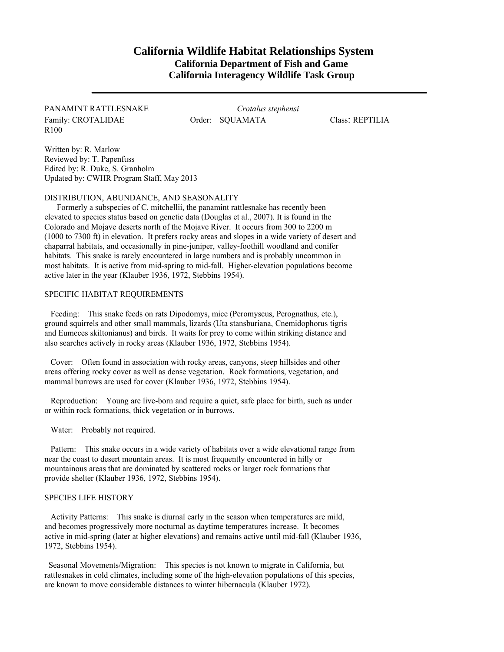# **California Wildlife Habitat Relationships System California Department of Fish and Game California Interagency Wildlife Task Group**

Family: CROTALIDAE **Order: SQUAMATA** Class: REPTILIA R100

PANAMINT RATTLESNAKE *Crotalus stephensi* 

Written by: R. Marlow Reviewed by: T. Papenfuss Edited by: R. Duke, S. Granholm Updated by: CWHR Program Staff, May 2013

## DISTRIBUTION, ABUNDANCE, AND SEASONALITY

 Formerly a subspecies of C. mitchellii, the panamint rattlesnake has recently been elevated to species status based on genetic data (Douglas et al., 2007). It is found in the Colorado and Mojave deserts north of the Mojave River. It occurs from 300 to 2200 m (1000 to 7300 ft) in elevation. It prefers rocky areas and slopes in a wide variety of desert and chaparral habitats, and occasionally in pine-juniper, valley-foothill woodland and conifer habitats. This snake is rarely encountered in large numbers and is probably uncommon in most habitats. It is active from mid-spring to mid-fall. Higher-elevation populations become active later in the year (Klauber 1936, 1972, Stebbins 1954).

# SPECIFIC HABITAT REQUIREMENTS

Feeding: This snake feeds on rats Dipodomys, mice (Peromyscus, Perognathus, etc.), ground squirrels and other small mammals, lizards (Uta stansburiana, Cnemidophorus tigris and Eumeces skiltonianus) and birds. It waits for prey to come within striking distance and also searches actively in rocky areas (Klauber 1936, 1972, Stebbins 1954).

Cover: Often found in association with rocky areas, canyons, steep hillsides and other areas offering rocky cover as well as dense vegetation. Rock formations, vegetation, and mammal burrows are used for cover (Klauber 1936, 1972, Stebbins 1954).

Reproduction: Young are live-born and require a quiet, safe place for birth, such as under or within rock formations, thick vegetation or in burrows.

Water: Probably not required.

Pattern: This snake occurs in a wide variety of habitats over a wide elevational range from near the coast to desert mountain areas. It is most frequently encountered in hilly or mountainous areas that are dominated by scattered rocks or larger rock formations that provide shelter (Klauber 1936, 1972, Stebbins 1954).

#### SPECIES LIFE HISTORY

Activity Patterns: This snake is diurnal early in the season when temperatures are mild, and becomes progressively more nocturnal as daytime temperatures increase. It becomes active in mid-spring (later at higher elevations) and remains active until mid-fall (Klauber 1936, 1972, Stebbins 1954).

Seasonal Movements/Migration: This species is not known to migrate in California, but rattlesnakes in cold climates, including some of the high-elevation populations of this species, are known to move considerable distances to winter hibernacula (Klauber 1972).